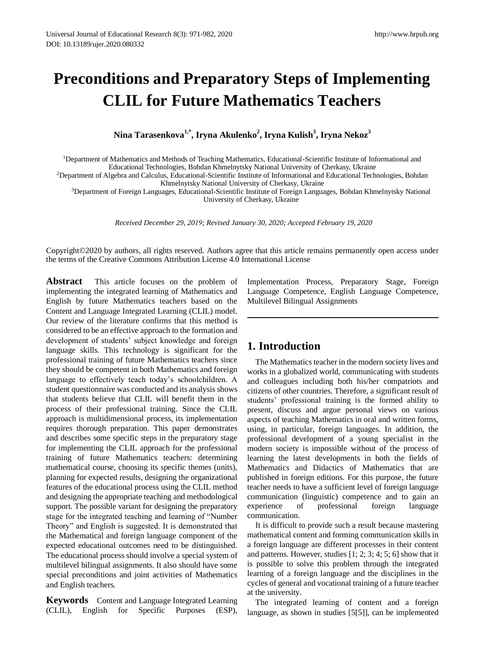# **Preconditions and Preparatory Steps of Implementing CLIL for Future Mathematics Teachers**

**Nina Tarasenkova1,\*, Iryna Akulenko<sup>2</sup> , Iryna Kulish<sup>3</sup> , Iryna Nekoz<sup>3</sup>**

<sup>1</sup>Department of Mathematics and Methods of Teaching Mathematics, Educational-Scientific Institute of Informational and Educational Technologies, Bohdan Khmelnytsky National University of Cherkasy, Ukraine

<sup>2</sup>Department of Algebra and Calculus, Educational-Scientific Institute of Informational and Educational Technologies, Bohdan Khmelnytsky National University of Cherkasy, Ukraine

<sup>3</sup>Department of Foreign Languages, Educational-Scientific Institute of Foreign Languages, Bohdan Khmelnytsky National University of Cherkasy, Ukraine

*Received December 29, 2019; Revised January 30, 2020; Accepted February 19, 2020* 

Copyright©2020 by authors, all rights reserved. Authors agree that this article remains permanently open access under the terms of the Creative Commons Attribution License 4.0 International License

**Abstract** This article focuses on the problem of implementing the integrated learning of Mathematics and English by future Mathematics teachers based on the Content and Language Integrated Learning (CLIL) model. Our review of the literature confirms that this method is considered to be an effective approach to the formation and development of students' subject knowledge and foreign language skills. This technology is significant for the professional training of future Mathematics teachers since they should be competent in both Mathematics and foreign language to effectively teach today's schoolchildren. A student questionnaire was conducted and its analysis shows that students believe that CLIL will benefit them in the process of their professional training. Since the CLIL approach is multidimensional process, its implementation requires thorough preparation. This paper demonstrates and describes some specific steps in the preparatory stage for implementing the CLIL approach for the professional training of future Mathematics teachers: determining mathematical course, choosing its specific themes (units), planning for expected results, designing the organizational features of the educational process using the CLIL method and designing the appropriate teaching and methodological support. The possible variant for designing the preparatory stage for the integrated teaching and learning of "Number Theory" and English is suggested. It is demonstrated that the Mathematical and foreign language component of the expected educational outcomes need to be distinguished. The educational process should involve a special system of multilevel bilingual assignments. It also should have some special preconditions and joint activities of Mathematics and English teachers.

**Keywords** Content and Language Integrated Learning (CLIL), English for Specific Purposes (ESP), Implementation Process, Preparatory Stage, Foreign Language Competence, English Language Competence, Multilevel Bilingual Assignments

# **1. Introduction**

The Mathematics teacher in the modern society lives and works in a globalized world, communicating with students and colleagues including both his/her compatriots and citizens of other countries. Therefore, a significant result of students' professional training is the formed ability to present, discuss and argue personal views on various aspects of teaching Mathematics in oral and written forms, using, in particular, foreign languages. In addition, the professional development of a young specialist in the modern society is impossible without of the process of learning the latest developments in both the fields of Mathematics and Didactics of Mathematics that are published in foreign editions. For this purpose, the future teacher needs to have a sufficient level of foreign language communication (linguistic) competence and to gain an experience of professional foreign language communication.

It is difficult to provide such a result because mastering mathematical content and forming communication skills in a foreign language are different processes in their content and patterns. However, studies [1; 2; 3; 4; 5; 6] show that it is possible to solve this problem through the integrated learning of a foreign language and the disciplines in the cycles of general and vocational training of a future teacher at the university.

The integrated learning of content and a foreign language, as shown in studies [[5\[5\]\]](#page-10-0), can be implemented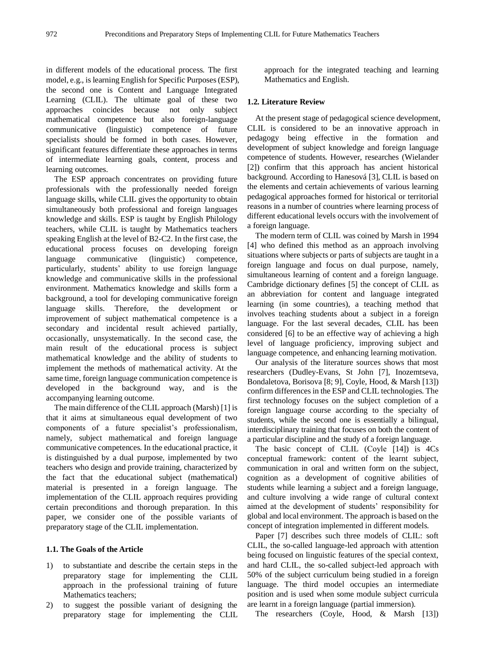in different models of the educational process. The first model, e.g., is learning English for Specific Purposes (ESP), the second one is Content and Language Integrated Learning (CLIL). The ultimate goal of these two approaches coincides because not only subject mathematical competence but also foreign-language communicative (linguistic) competence of future specialists should be formed in both cases. However, significant features differentiate these approaches in terms of intermediate learning goals, content, process and learning outcomes.

The ESP approach concentrates on providing future professionals with the professionally needed foreign language skills, while CLIL gives the opportunity to obtain simultaneously both professional and foreign languages knowledge and skills. ESP is taught by English Philology teachers, while CLIL is taught by Mathematics teachers speaking English at the level of B2-C2. In the first case, the educational process focuses on developing foreign language communicative (linguistic) competence, particularly, students' ability to use foreign language knowledge and communicative skills in the professional environment. Mathematics knowledge and skills form a background, a tool for developing communicative foreign language skills. Therefore, the development or improvement of subject mathematical competence is a secondary and incidental result achieved partially, occasionally, unsystematically. In the second case, the main result of the educational process is subject mathematical knowledge and the ability of students to implement the methods of mathematical activity. At the same time, foreign language communication competence is developed in the background way, and is the accompanying learning outcome.

The main difference of the CLIL approach (Marsh) [1] is that it aims at simultaneous equal development of two components of a future specialist's professionalism, namely, subject mathematical and foreign language communicative competences. In the educational practice, it is distinguished by a dual purpose, implemented by two teachers who design and provide training, characterized by the fact that the educational subject (mathematical) material is presented in a foreign language. The implementation of the CLIL approach requires providing certain preconditions and thorough preparation. In this paper, we consider one of the possible variants of preparatory stage of the CLIL implementation.

### **1.1. The Goals of the Article**

- 1) to substantiate and describe the certain steps in the preparatory stage for implementing the CLIL approach in the professional training of future Mathematics teachers;
- 2) to suggest the possible variant of designing the preparatory stage for implementing the CLIL

approach for the integrated teaching and learning Mathematics and English.

## **1.2. Literature Review**

At the present stage of pedagogical science development, CLIL is considered to be an innovative approach in pedagogy being effective in the formation and development of subject knowledge and foreign language competence of students. However, researches (Wielander [2]) confirm that this approach has ancient historical background. According to Hanesová [3], CLIL is based on the elements and certain achievements of various learning pedagogical approaches formed for historical or territorial reasons in a number of countries where learning process of different educational levels occurs with the involvement of a foreign language.

The modern term of CLIL was coined by Marsh in 1994 [4] who defined this method as an approach involving situations where subjects or parts of subjects are taught in a foreign language and focus on dual purpose, namely, simultaneous learning of content and a foreign language. Cambridge dictionary defines [5] the concept of CLIL as an abbreviation for content and language integrated learning (in some countries), a teaching method that involves teaching students about a subject in a foreign language. For the last several decades, CLIL has been considered [6] to be an effective way of achieving a high level of language proficiency, improving subject and language competence, and enhancing learning motivation.

Our analysis of the literature sources shows that most researchers (Dudley-Evans, St John [7], Inozemtseva, Bondaletova, Borisova [8; 9], Coyle, Hood, & Marsh [13]) confirm differences in the ESP and CLIL technologies. The first technology focuses on the subject completion of a foreign language course according to the specialty of students, while the second one is essentially a bilingual, interdisciplinary training that focuses on both the content of a particular discipline and the study of a foreign language.

The basic concept of CLIL (Coyle [14]) is  $4Cs$ conceptual framework: content of the learnt subject, communication in oral and written form on the subject, cognition as a development of cognitive abilities of students while learning a subject and a foreign language, and culture involving a wide range of cultural context aimed at the development of students' responsibility for global and local environment. The approach is based on the concept of integration implemented in different models.

Paper [7] describes such three models of CLIL: soft CLIL, the so-called language-led approach with attention being focused on linguistic features of the special context, and hard CLIL, the so-called subject-led approach with 50% of the subject curriculum being studied in a foreign language. The third model occupies an intermediate position and is used when some module subject curricula are learnt in a foreign language (partial immersion).

The researchers (Coyle, Hood, & Marsh [13])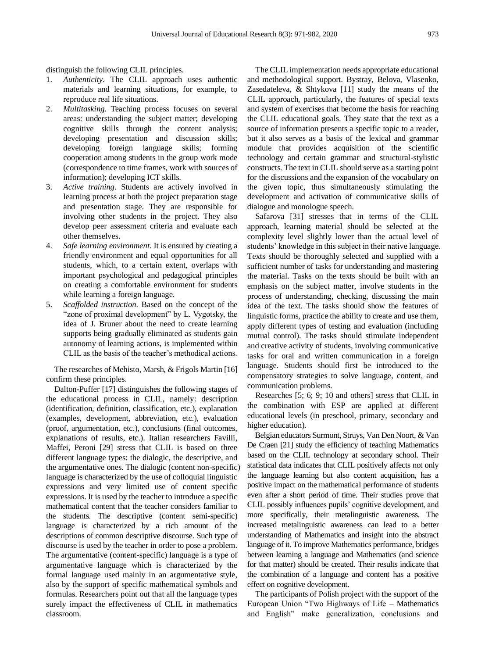distinguish the following CLIL principles.

- 1. *Authenticity*. The CLIL approach uses authentic materials and learning situations, for example, to reproduce real life situations.
- 2. *Multitasking*. Teaching process focuses on several areas: understanding the subject matter; developing cognitive skills through the content analysis; developing presentation and discussion skills; developing foreign language skills; forming cooperation among students in the group work mode (correspondence to time frames, work with sources of information); developing ICT skills.
- 3. *Active training*. Students are actively involved in learning process at both the project preparation stage and presentation stage. They are responsible for involving other students in the project. They also develop peer assessment criteria and evaluate each other themselves.
- 4. *Safe learning environment*. It is ensured by creating a friendly environment and equal opportunities for all students, which, to a certain extent, overlaps with important psychological and pedagogical principles on creating a comfortable environment for students while learning a foreign language.
- 5. *Scaffolded instruction*. Based on the concept of the "zone of proximal development" by L. Vygotsky, the idea of J. Bruner about the need to create learning supports being gradually eliminated as students gain autonomy of learning actions, is implemented within CLIL as the basis of the teacher's methodical actions.

The researches of Mehisto, Marsh, & Frigols Martin [16] confirm these principles.

Dalton-Puffer [17] distinguishes the following stages of the educational process in CLIL, namely: description (identification, definition, classification, etc.), explanation (examples, development, abbreviation, etc.), evaluation (proof, argumentation, etc.), conclusions (final outcomes, explanations of results, etc.). Italian researchers Favilli, Maffei, Peroni [29] stress that CLIL is based on three different language types: the dialogic, the descriptive, and the argumentative ones. The dialogic (content non-specific) language is characterized by the use of colloquial linguistic expressions and very limited use of content specific expressions. It is used by the teacher to introduce a specific mathematical content that the teacher considers familiar to the students. The descriptive (content semi-specific) language is characterized by a rich amount of the descriptions of common descriptive discourse. Such type of discourse is used by the teacher in order to pose a problem. The argumentative (content-specific) language is a type of argumentative language which is characterized by the formal language used mainly in an argumentative style, also by the support of specific mathematical symbols and formulas. Researchers point out that all the language types surely impact the effectiveness of CLIL in mathematics classroom.

The CLIL implementation needs appropriate educational and methodological support. Bystray, Belova, Vlasenko, Zasedateleva, & Shtykova [11] study the means of the CLIL approach, particularly, the features of special texts and system of exercises that become the basis for reaching the CLIL educational goals. They state that the text as a source of information presents a specific topic to a reader, but it also serves as a basis of the lexical and grammar module that provides acquisition of the scientific technology and certain grammar and structural-stylistic constructs. The text in CLIL should serve as a starting point for the discussions and the expansion of the vocabulary on the given topic, thus simultaneously stimulating the development and activation of communicative skills of dialogue and monologue speech.

Safarova [31] stresses that in terms of the CLIL approach, learning material should be selected at the complexity level slightly lower than the actual level of students' knowledge in this subject in their native language. Texts should be thoroughly selected and supplied with a sufficient number of tasks for understanding and mastering the material. Tasks on the texts should be built with an emphasis on the subject matter, involve students in the process of understanding, checking, discussing the main idea of the text. The tasks should show the features of linguistic forms, practice the ability to create and use them, apply different types of testing and evaluation (including mutual control). The tasks should stimulate independent and creative activity of students, involving communicative tasks for oral and written communication in a foreign language. Students should first be introduced to the compensatory strategies to solve language, content, and communication problems.

Researches [5; 6; 9; 10 and others] stress that CLIL in the combination with ESP are applied at different educational levels (in preschool, primary, secondary and higher education).

Belgian educators Surmont, Struys, Van Den Noort, & Van De Craen [21] study the efficiency of teaching Mathematics based on the CLIL technology at secondary school. Their statistical data indicates that CLIL positively affects not only the language learning but also content acquisition, has a positive impact on the mathematical performance of students even after a short period of time. Their studies prove that CLIL possibly influences pupils' cognitive development, and more specifically, their metalinguistic awareness. The increased metalinguistic awareness can lead to a better understanding of Mathematics and insight into the abstract language of it. To improve Mathematics performance, bridges between learning a language and Mathematics (and science for that matter) should be created. Their results indicate that the combination of a language and content has a positive effect on cognitive development.

The participants of Polish project with the support of the European Union "Two Highways of Life – Mathematics and English" make generalization, conclusions and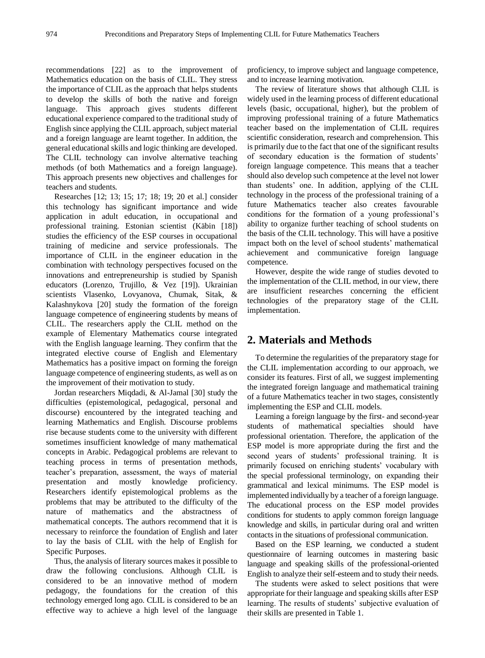recommendations [22] as to the improvement of Mathematics education on the basis of CLIL. They stress the importance of CLIL as the approach that helps students to develop the skills of both the native and foreign language. This approach gives students different educational experience compared to the traditional study of English since applying the CLIL approach, subject material and a foreign language are learnt together. In addition, the general educational skills and logic thinking are developed. The CLIL technology can involve alternative teaching methods (of both Mathematics and a foreign language). This approach presents new objectives and challenges for teachers and students.

Researches [12; 13; 15; 17; 18; 19; 20 et al.] consider this technology has significant importance and wide application in adult education, in occupational and professional training. Estonian scientist (Käbin [18]) studies the efficiency of the ESP courses in occupational training of medicine and service professionals. The importance of CLIL in the engineer education in the combination with technology perspectives focused on the innovations and entrepreneurship is studied by Spanish educators (Lorenzo, Trujillo, & Vez [19]). Ukrainian scientists Vlasenko, Lovyanova, Chumak, Sitak, & Kalashnykova [20] study the formation of the foreign language competence of engineering students by means of CLIL. The researchers apply the CLIL method on the example of Elementary Mathematics course integrated with the English language learning. They confirm that the integrated elective course of English and Elementary Mathematics has a positive impact on forming the foreign language competence of engineering students, as well as on the improvement of their motivation to study.

Jordan researchers Miqdadi, & Al-Jamal [30] study the difficulties (epistemological, pedagogical, personal and discourse) encountered by the integrated teaching and learning Mathematics and English. Discourse problems rise because students come to the university with different sometimes insufficient knowledge of many mathematical concepts in Arabic. Pedagogical problems are relevant to teaching process in terms of presentation methods, teacher's preparation, assessment, the ways of material presentation and mostly knowledge proficiency. Researchers identify epistemological problems as the problems that may be attributed to the difficulty of the nature of mathematics and the abstractness of mathematical concepts. The authors recommend that it is necessary to reinforce the foundation of English and later to lay the basis of CLIL with the help of English for Specific Purposes.

Thus, the analysis of literary sources makes it possible to draw the following conclusions. Although CLIL is considered to be an innovative method of modern pedagogy, the foundations for the creation of this technology emerged long ago. CLIL is considered to be an effective way to achieve a high level of the language

proficiency, to improve subject and language competence, and to increase learning motivation.

The review of literature shows that although CLIL is widely used in the learning process of different educational levels (basic, occupational, higher), but the problem of improving professional training of a future Mathematics teacher based on the implementation of CLIL requires scientific consideration, research and comprehension. This is primarily due to the fact that one of the significant results of secondary education is the formation of students' foreign language competence. This means that a teacher should also develop such competence at the level not lower than students' one. In addition, applying of the CLIL technology in the process of the professional training of a future Mathematics teacher also creates favourable conditions for the formation of a young professional's ability to organize further teaching of school students on the basis of the CLIL technology. This will have a positive impact both on the level of school students' mathematical achievement and communicative foreign language competence.

However, despite the wide range of studies devoted to the implementation of the CLIL method, in our view, there are insufficient researches concerning the efficient technologies of the preparatory stage of the CLIL implementation.

# **2. Materials and Methods**

To determine the regularities of the preparatory stage for the CLIL implementation according to our approach, we consider its features. First of all, we suggest implementing the integrated foreign language and mathematical training of a future Mathematics teacher in two stages, consistently implementing the ESP and CLIL models.

Learning a foreign language by the first- and second-year students of mathematical specialties should have professional orientation. Therefore, the application of the ESP model is more appropriate during the first and the second years of students' professional training. It is primarily focused on enriching students' vocabulary with the special professional terminology, on expanding their grammatical and lexical minimums. The ESP model is implemented individually by a teacher of a foreign language. The educational process on the ESP model provides conditions for students to apply common foreign language knowledge and skills, in particular during oral and written contacts in the situations of professional communication.

Based on the ESP learning, we conducted a student questionnaire of learning outcomes in mastering basic language and speaking skills of the professional-oriented English to analyze their self-esteem and to study their needs.

The students were asked to select positions that were appropriate for their language and speaking skills after ESP learning. The results of students' subjective evaluation of their skills are presented in Table 1.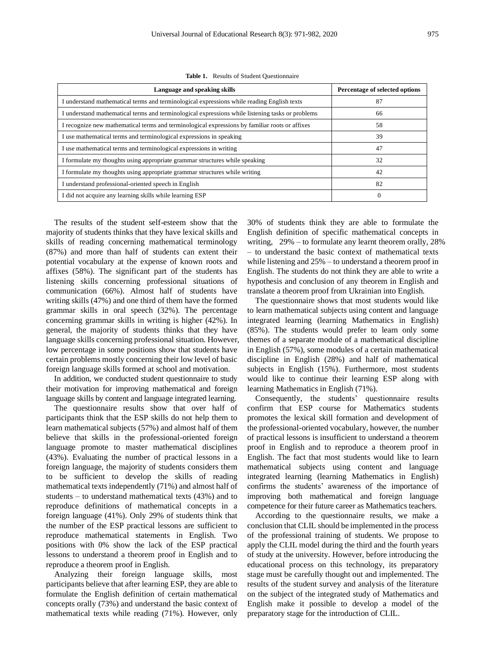| Language and speaking skills                                                                     | Percentage of selected options |
|--------------------------------------------------------------------------------------------------|--------------------------------|
| I understand mathematical terms and terminological expressions while reading English texts       | 87                             |
| I understand mathematical terms and terminological expressions while listening tasks or problems | 66                             |
| I recognize new mathematical terms and terminological expressions by familiar roots or affixes   | 58                             |
| I use mathematical terms and terminological expressions in speaking                              | 39                             |
| I use mathematical terms and terminological expressions in writing                               | 47                             |
| I formulate my thoughts using appropriate grammar structures while speaking                      | 32                             |
| I formulate my thoughts using appropriate grammar structures while writing                       | 42                             |
| I understand professional-oriented speech in English                                             | 82                             |
| I did not acquire any learning skills while learning ESP                                         | $\Omega$                       |

**Table 1.** Results of Student Questionnaire

The results of the student self-esteem show that the majority of students thinks that they have lexical skills and skills of reading concerning mathematical terminology (87%) and more than half of students can extent their potential vocabulary at the expense of known roots and affixes (58%). The significant part of the students has listening skills concerning professional situations of communication (66%). Almost half of students have writing skills (47%) and one third of them have the formed grammar skills in oral speech (32%). The percentage concerning grammar skills in writing is higher (42%). In general, the majority of students thinks that they have language skills concerning professional situation. However, low percentage in some positions show that students have certain problems mostly concerning their low level of basic foreign language skills formed at school and motivation.

In addition, we conducted student questionnaire to study their motivation for improving mathematical and foreign language skills by content and language integrated learning.

The questionnaire results show that over half of participants think that the ESP skills do not help them to learn mathematical subjects (57%) and almost half of them believe that skills in the professional-oriented foreign language promote to master mathematical disciplines (43%). Evaluating the number of practical lessons in a foreign language, the majority of students considers them to be sufficient to develop the skills of reading mathematical texts independently (71%) and almost half of students – to understand mathematical texts (43%) and to reproduce definitions of mathematical concepts in a foreign language (41%). Only 29% of students think that the number of the ESP practical lessons are sufficient to reproduce mathematical statements in English. Two positions with 0% show the lack of the ESP practical lessons to understand a theorem proof in English and to reproduce a theorem proof in English.

Analyzing their foreign language skills, most participants believe that after learning ESP, they are able to formulate the English definition of certain mathematical concepts orally (73%) and understand the basic context of mathematical texts while reading (71%). However, only

30% of students think they are able to formulate the English definition of specific mathematical concepts in writing, 29% – to formulate any learnt theorem orally, 28% – to understand the basic context of mathematical texts while listening and 25% – to understand a theorem proof in English. The students do not think they are able to write a hypothesis and conclusion of any theorem in English and translate a theorem proof from Ukrainian into English.

The questionnaire shows that most students would like to learn mathematical subjects using content and language integrated learning (learning Mathematics in English) (85%). The students would prefer to learn only some themes of a separate module of a mathematical discipline in English (57%), some modules of a certain mathematical discipline in English (28%) and half of mathematical subjects in English (15%). Furthermore, most students would like to continue their learning ESP along with learning Mathematics in English (71%).

Consequently, the students' questionnaire results confirm that ESP course for Mathematics students promotes the lexical skill formation and development of the professional-oriented vocabulary, however, the number of practical lessons is insufficient to understand a theorem proof in English and to reproduce a theorem proof in English. The fact that most students would like to learn mathematical subjects using content and language integrated learning (learning Mathematics in English) confirms the students' awareness of the importance of improving both mathematical and foreign language competence for their future career as Mathematics teachers.

According to the questionnaire results, we make a conclusion that CLIL should be implemented in the process of the professional training of students. We propose to apply the CLIL model during the third and the fourth years of study at the university. However, before introducing the educational process on this technology, its preparatory stage must be carefully thought out and implemented. The results of the student survey and analysis of the literature on the subject of the integrated study of Mathematics and English make it possible to develop a model of the preparatory stage for the introduction of CLIL.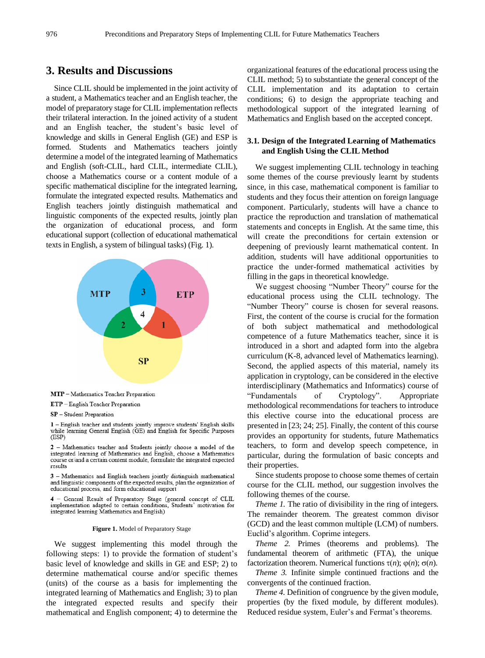## **3. Results and Discussions**

Since CLIL should be implemented in the joint activity of a student, a Mathematics teacher and an English teacher, the model of preparatory stage for CLIL implementation reflects their trilateral interaction. In the joined activity of a student and an English teacher, the student's basic level of knowledge and skills in General English (GE) and ESP is formed. Students and Mathematics teachers jointly determine a model of the integrated learning of Mathematics and English (soft-CLIL, hard CLIL, intermediate CLIL), choose a Mathematics course or a content module of a specific mathematical discipline for the integrated learning, formulate the integrated expected results. Mathematics and English teachers jointly distinguish mathematical and linguistic components of the expected results, jointly plan the organization of educational process, and form educational support (collection of educational mathematical texts in English, a system of bilingual tasks) (Fig. 1).



ETP - English Teacher Preparation

SP - Student Preparation

1 - English teacher and students jointly improve students' English skills while learning General English (GE) and English for Specific Purposes  $(ESP)$ 

2 - Mathematics teacher and Students jointly choose a model of the integrated learning of Mathematics and English, choose a Mathematics course or/and a certain content module, formulate the integrated expected results

3 - Mathematics and English teachers jointly distinguish mathematical and linguistic components of the expected results, plan the organization of educational process, and form educational support

4 - General Result of Preparatory Stage (general concept of CLIL implementation adapted to certain conditions. Students' motivation for integrated learning Mathematics and English)

#### **Figure 1.** Model of Preparatory Stage

We suggest implementing this model through the following steps: 1) to provide the formation of student's basic level of knowledge and skills in GE and ESP; 2) to determine mathematical course and/or specific themes (units) of the course as a basis for implementing the integrated learning of Mathematics and English; 3) to plan the integrated expected results and specify their mathematical and English component; 4) to determine the

organizational features of the educational process using the CLIL method; 5) to substantiate the general concept of the CLIL implementation and its adaptation to certain conditions; 6) to design the appropriate teaching and methodological support of the integrated learning of Mathematics and English based on the accepted concept.

## **3.1. Design of the Integrated Learning of Mathematics and English Using the CLIL Method**

We suggest implementing CLIL technology in teaching some themes of the course previously learnt by students since, in this case, mathematical component is familiar to students and they focus their attention on foreign language component. Particularly, students will have a chance to practice the reproduction and translation of mathematical statements and concepts in English. At the same time, this will create the preconditions for certain extension or deepening of previously learnt mathematical content. In addition, students will have additional opportunities to practice the under-formed mathematical activities by filling in the gaps in theoretical knowledge.

We suggest choosing "Number Theory" course for the educational process using the CLIL technology. The "Number Theory" course is chosen for several reasons. First, the content of the course is crucial for the formation of both subject mathematical and methodological competence of a future Mathematics teacher, since it is introduced in a short and adapted form into the algebra curriculum (K-8, advanced level of Mathematics learning). Second, the applied aspects of this material, namely its application in cryptology, can be considered in the elective interdisciplinary (Mathematics and Informatics) course of "Fundamentals of Cryptology". Appropriate methodological recommendations for teachers to introduce this elective course into the educational process are presented in [23; 24; 25]. Finally, the content of this course provides an opportunity for students, future Mathematics teachers, to form and develop speech competence, in particular, during the formulation of basic concepts and their properties.

Since students propose to choose some themes of certain course for the CLIL method, our suggestion involves the following themes of the course.

*Theme 1.* The ratio of divisibility in the ring of integers. The remainder theorem. The greatest common divisor (GCD) and the least common multiple (LCM) of numbers. Euclid's algorithm. Coprime integers.

*Theme 2.* Primes (theorems and problems). The fundamental theorem of arithmetic (FTA), the unique factorization theorem. Numerical functions  $\tau(n)$ ;  $\varphi(n)$ ;  $\sigma(n)$ .

*Theme 3.* Infinite simple continued fractions and the convergents of the continued fraction.

*Theme 4.* Definition of congruence by the given module, properties (by the fixed module, by different modules). Reduced residue system, Euler's and Fermat's theorems.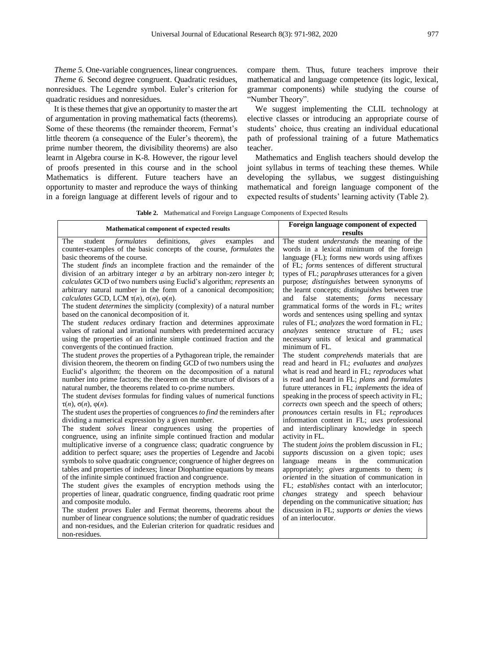*Theme 5.* One-variable congruences, linear congruences. *Theme 6.* Second degree congruent. Quadratic residues, nonresidues. The Legendre symbol. Euler's criterion for quadratic residues and nonresidues.

It is these themes that give an opportunity to master the art of argumentation in proving mathematical facts (theorems). Some of these theorems (the remainder theorem, Fermat's little theorem (a consequence of the Euler's theorem), the prime number theorem, the divisibility theorems) are also learnt in Algebra course in K-8. However, the rigour level of proofs presented in this course and in the school Mathematics is different. Future teachers have an opportunity to master and reproduce the ways of thinking in a foreign language at different levels of rigour and to

compare them. Thus, future teachers improve their mathematical and language competence (its logic, lexical, grammar components) while studying the course of "Number Theory".

We suggest implementing the CLIL technology at elective classes or introducing an appropriate course of students' choice, thus creating an individual educational path of professional training of a future Mathematics teacher.

Mathematics and English teachers should develop the joint syllabus in terms of teaching these themes. While developing the syllabus, we suggest distinguishing mathematical and foreign language component of the expected results of students' learning activity (Table 2).

**Table 2.** Mathematical and Foreign Language Components of Expected Results

| Mathematical component of expected results                                      | Foreign language component of expected<br>results      |
|---------------------------------------------------------------------------------|--------------------------------------------------------|
|                                                                                 |                                                        |
| formulates<br>definitions,<br>The<br>student<br>gives<br>examples<br>and        | The student <i>understands</i> the meaning of the      |
| counter-examples of the basic concepts of the course, formulates the            | words in a lexical minimum of the foreign              |
| basic theorems of the course.                                                   | language (FL); forms new words using affixes           |
| The student <i>finds</i> an incomplete fraction and the remainder of the        | of FL; forms sentences of different structural         |
| division of an arbitrary integer $a$ by an arbitrary non-zero integer $b$ ;     | types of FL; paraphrases utterances for a given        |
| calculates GCD of two numbers using Euclid's algorithm; represents an           | purpose; <i>distinguishes</i> between synonyms of      |
| arbitrary natural number in the form of a canonical decomposition;              | the learnt concepts; <i>distinguishes</i> between true |
| calculates GCD, LCM $\tau(n)$ , $\sigma(n)$ , $\varphi(n)$ .                    | statements; <i>forms</i> necessary<br>and<br>false     |
| The student <i>determines</i> the simplicity (complexity) of a natural number   | grammatical forms of the words in FL; writes           |
| based on the canonical decomposition of it.                                     | words and sentences using spelling and syntax          |
| The student <i>reduces</i> ordinary fraction and determines approximate         | rules of FL; <i>analyzes</i> the word formation in FL; |
| values of rational and irrational numbers with predetermined accuracy           | analyzes sentence structure of FL; uses                |
| using the properties of an infinite simple continued fraction and the           | necessary units of lexical and grammatical             |
| convergents of the continued fraction.                                          | minimum of FL.                                         |
| The student <i>proves</i> the properties of a Pythagorean triple, the remainder | The student <i>comprehends</i> materials that are      |
| division theorem, the theorem on finding GCD of two numbers using the           | read and heard in FL; evaluates and analyzes           |
| Euclid's algorithm; the theorem on the decomposition of a natural               | what is read and heard in FL; reproduces what          |
| number into prime factors; the theorem on the structure of divisors of a        | is read and heard in FL; plans and formulates          |
| natural number, the theorems related to co-prime numbers.                       | future utterances in FL; implements the idea of        |
| The student <i>devises</i> formulas for finding values of numerical functions   | speaking in the process of speech activity in FL;      |
| $\tau(n), \sigma(n), \varphi(n).$                                               | corrects own speech and the speech of others;          |
| The student uses the properties of congruences to find the reminders after      | pronounces certain results in FL; reproduces           |
| dividing a numerical expression by a given number.                              | information content in FL; uses professional           |
| The student <i>solves</i> linear congruences using the properties of            | and interdisciplinary knowledge in speech              |
| congruence, using an infinite simple continued fraction and modular             | activity in FL.                                        |
| multiplicative inverse of a congruence class; quadratic congruence by           | The student joins the problem discussion in FL;        |
| addition to perfect square; uses the properties of Legendre and Jacobi          | supports discussion on a given topic; uses             |
| symbols to solve quadratic congruence; congruence of higher degrees on          | language means in the communication                    |
| tables and properties of indexes; linear Diophantine equations by means         | appropriately; gives arguments to them; is             |
| of the infinite simple continued fraction and congruence.                       | oriented in the situation of communication in          |
| The student gives the examples of encryption methods using the                  | FL; establishes contact with an interlocutor;          |
| properties of linear, quadratic congruence, finding quadratic root prime        | <i>changes</i> strategy and speech behaviour           |
| and composite modulo.                                                           | depending on the communicative situation; has          |
| The student <i>proves</i> Euler and Fermat theorems, theorems about the         | discussion in FL; supports or denies the views         |
| number of linear congruence solutions; the number of quadratic residues         | of an interlocutor.                                    |
| and non-residues, and the Eulerian criterion for quadratic residues and         |                                                        |
| non-residues.                                                                   |                                                        |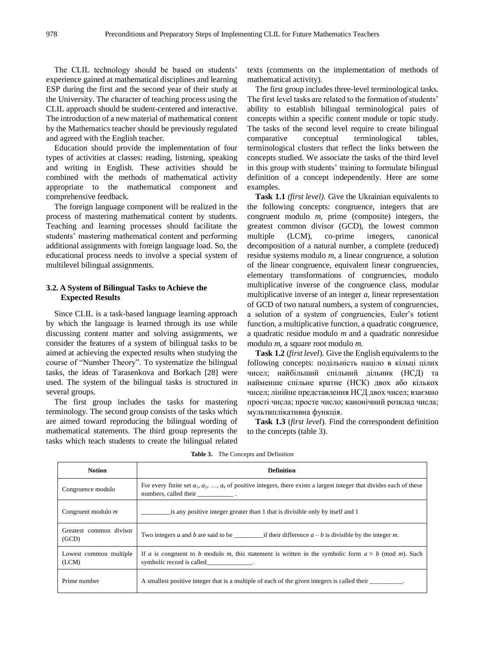The CLIL technology should be based on students' experience gained at mathematical disciplines and learning ESP during the first and the second year of their study at the University. The character of teaching process using the CLIL approach should be student-centered and interactive. The introduction of a new material of mathematical content by the Mathematics teacher should be previously regulated and agreed with the English teacher.

Education should provide the implementation of four types of activities at classes: reading, listening, speaking and writing in English. These activities should be combined with the methods of mathematical activity appropriate to the mathematical component and comprehensive feedback.

The foreign language component will be realized in the process of mastering mathematical content by students. Teaching and learning processes should facilitate the students' mastering mathematical content and performing additional assignments with foreign language load. So, the educational process needs to involve a special system of multilevel bilingual assignments.

## **3.2. A System of Bilingual Tasks to Achieve the Expected Results**

Since CLIL is a task-based language learning approach by which the language is learned through its use while discussing content matter and solving assignments, we consider the features of a system of bilingual tasks to be aimed at achieving the expected results when studying the course of "Number Theory". To systematize the bilingual tasks, the ideas of Tarasenkova and Borkach [28] were used. The system of the bilingual tasks is structured in several groups.

The first group includes the tasks for mastering terminology. The second group consists of the tasks which are aimed toward reproducing the bilingual wording of mathematical statements. The third group represents the tasks which teach students to create the bilingual related texts (comments on the implementation of methods of mathematical activity).

The first group includes three-level terminological tasks. The first level tasks are related to the formation of students' ability to establish bilingual terminological pairs of concepts within a specific content module or topic study. The tasks of the second level require to create bilingual comparative conceptual terminological tables, terminological clusters that reflect the links between the concepts studied. We associate the tasks of the third level in this group with students' training to formulate bilingual definition of a concept independently. Here are some examples.

**Task 1.1** *(first level)*. Give the Ukrainian equivalents to the following concepts: congruence, integers that are congruent modulo *m*, prime (composite) integers, the greatest common divisor (GCD), the lowest common multiple (LCM), co-prime integers, canonical decomposition of a natural number, a complete (reduced) residue systems modulo *m*, a linear congruence, a solution of the linear congruence, equivalent linear congruencies, elementary transformations of congruencies, modulo multiplicative inverse of the congruence class, modular multiplicative inverse of an integer *a*, linear representation of GCD of two natural numbers, a system of congruencies, a solution of a system of congruencies, Euler's totient function, a multiplicative function, a quadratic congruence, a quadratic residue modulo *m* and a quadratic nonresidue modulo *m*, a square root modulo *m*.

**Task 1.2** (*first level*). Give the English equivalents to the following concepts: подільність націло в кільці цілих чисел; найбільший спільний дільник (НСД) та найменше спільне кратне (НСК) двох або кількох чисел; лінійне представлення НСД двох чисел; взаємно прості числа; просте число; канонічний розклад числа; мультиплікативна функція.

**Task 1.3** (*first level*). Find the correspondent definition to the concepts (table 3).

| <b>Notion</b>                    | <b>Definition</b>                                                                                                                                       |
|----------------------------------|---------------------------------------------------------------------------------------------------------------------------------------------------------|
| Congruence modulo                | For every finite set $a_1, a_2, , a_k$ of positive integers, there exists a largest integer that divides each of these                                  |
| Congruent modulo $m$             | is any positive integer greater than 1 that is divisible only by itself and 1                                                                           |
| Greatest common divisor<br>(GCD) |                                                                                                                                                         |
| Lowest common multiple<br>(LCM)  | If a is congruent to b modulo m, this statement is written in the symbolic form $a \equiv b \pmod{m}$ . Such<br>symbolic record is called_____________. |
| Prime number                     | A smallest positive integer that is a multiple of each of the given integers is called their                                                            |

**Table 3.** The Concepts and Definition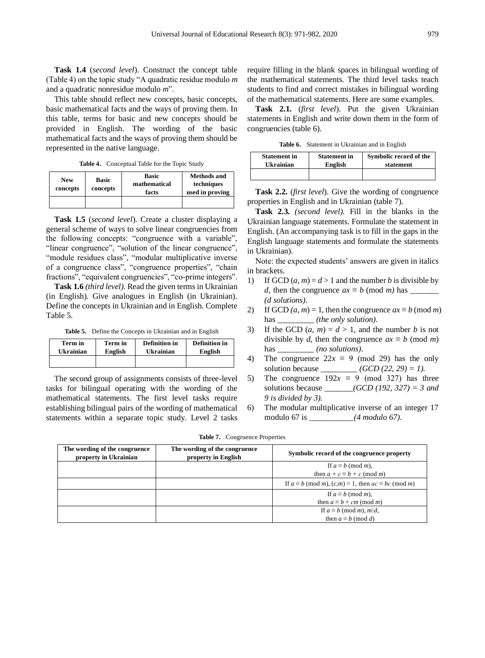**Task 1.4** (*second level*). Construct the concept table (Table 4) on the topic study "A quadratic residue modulo *m* and a quadratic nonresidue modulo *m*".

This table should reflect new concepts, basic concepts, basic mathematical facts and the ways of proving them. In this table, terms for basic and new concepts should be provided in English. The wording of the basic mathematical facts and the ways of proving them should be represented in the native language.

**Table 4.** Conceptual Table for the Topic Study

| <b>New</b><br>concepts | <b>Basic</b><br>concepts | <b>Basic</b><br>mathematical<br>facts | <b>Methods and</b><br>techniques<br>used in proving |
|------------------------|--------------------------|---------------------------------------|-----------------------------------------------------|
|                        |                          |                                       |                                                     |

**Task 1.5** (*second level*). Create a cluster displaying a general scheme of ways to solve linear congruencies from the following concepts: "congruence with a variable", "linear congruence", "solution of the linear congruence", "module residues class", "modular multiplicative inverse of a congruence class", "congruence properties", "chain fractions", "equivalent congruencies", "co-prime integers".

**Task 1.6** *(third level)*. Read the given terms in Ukrainian (in English). Give analogues in English (in Ukrainian). Define the concepts in Ukrainian and in English. Complete Table 5.

**Table 5.** Define the Concepts in Ukrainian and in English

| <b>Ukrainian</b> | Term in | <b>Definition</b> in | <b>Definition</b> in |
|------------------|---------|----------------------|----------------------|
|                  | English | Ukrainian            | English              |
|                  |         |                      |                      |

The second group of assignments consists of three-level tasks for bilingual operating with the wording of the mathematical statements. The first level tasks require establishing bilingual pairs of the wording of mathematical statements within a separate topic study. Level 2 tasks require filling in the blank spaces in bilingual wording of the mathematical statements. The third level tasks teach students to find and correct mistakes in bilingual wording of the mathematical statements. Here are some examples.

**Task 2.1.** (*first level*). Put the given Ukrainian statements in English and write down them in the form of congruencies (table 6).

**Table 6.** Statement in Ukrainian and in English

| <b>Statement in</b> | <b>Statement in</b> | Symbolic record of the |
|---------------------|---------------------|------------------------|
| <b>Ukrainian</b>    | English             | statement              |
|                     |                     |                        |

**Task 2.2.** (*first level*). Give the wording of congruence properties in English and in Ukrainian (table 7).

**Task 2.3.** *(second level).* Fill in the blanks in the Ukrainian language statements. Formulate the statement in English. (An accompanying task is to fill in the gaps in the English language statements and formulate the statements in Ukrainian).

Note: the expected students' answers are given in italics in brackets.

- 1) If GCD  $(a, m) = d > 1$  and the number *b* is divisible by *d*, then the congruence *ax* ≡ *b* (mod *m)* has \_\_\_\_\_\_\_ *(d solutions)*.
- 2) If GCD  $(a, m) = 1$ , then the congruence  $ax \equiv b \pmod{m}$ has \_\_\_\_\_\_\_\_\_\_*(the only solution)*.
- 3) If the GCD  $(a, m) = d > 1$ , and the number *b* is not divisible by *d*, then the congruence  $ax \equiv b \pmod{m}$ has \_\_\_\_\_\_\_\_\_\_*(no solutions)*.
- 4) The congruence  $22x \equiv 9 \pmod{29}$  has the only solution because  $(GCD (22, 29) = 1)$ .
- 5) The congruence  $192x \equiv 9 \pmod{327}$  has three solutions because \_\_\_\_\_\_\_*(GCD (192, 327) = 3 and 9 is divided by 3).*
- 6) The modular multiplicative inverse of an integer 17 modulo 67 is \_\_\_\_\_\_\_\_\_\_\_*(4 modulo 67).*

| The wording of the congruence<br>property in Ukrainian | The wording of the congruence<br>property in English | Symbolic record of the congruence property                            |
|--------------------------------------------------------|------------------------------------------------------|-----------------------------------------------------------------------|
|                                                        |                                                      | If $a \equiv b \pmod{m}$ ,                                            |
|                                                        |                                                      | then $a + c \equiv b + c \pmod{m}$                                    |
|                                                        |                                                      | If $a \equiv b \pmod{m}$ , $(c,m) = 1$ , then $ac \equiv bc \pmod{m}$ |
|                                                        |                                                      | If $a \equiv b \pmod{m}$ ,                                            |
|                                                        |                                                      | then $a \equiv b + cm \pmod{m}$                                       |
|                                                        |                                                      | If $a \equiv b \pmod{m}$ , m:d,                                       |
|                                                        |                                                      | then $a \equiv b \pmod{d}$                                            |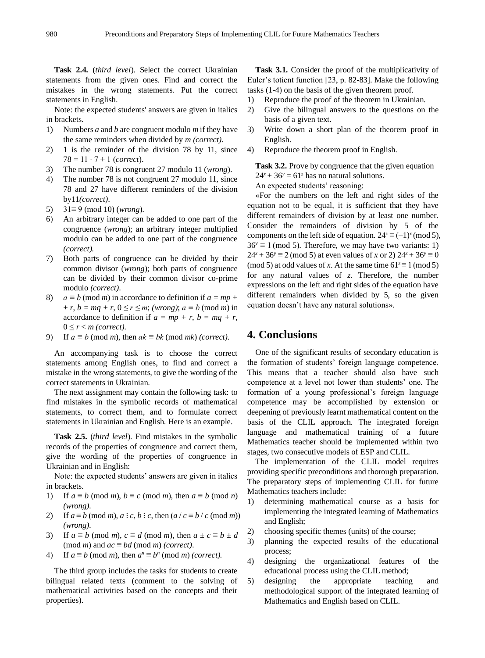**Task 2.4.** (*third level*). Select the correct Ukrainian statements from the given ones. Find and correct the mistakes in the wrong statements. Put the correct statements in English.

Note: the expected students' answers are given in italics in brackets.

- 1) Numbers *a* and *b* are congruent modulo *m* if they have the same reminders when divided by *m (correct).*
- 2) 1 is the reminder of the division 78 by 11, since 78 = 11 ∙ 7 + 1 (*correct*).
- 3) The number 78 is congruent 27 modulo 11 (*wrong*).
- 4) The number 78 is not congruent 27 modulo 11, since 78 and 27 have different reminders of the division by11*(correct)*.
- 5) 31≡ 9 (mod 10) (*wrong*).
- 6) An arbitrary integer can be added to one part of the congruence (*wrong*); an arbitrary integer multiplied modulo can be added to one part of the congruence *(correct).*
- 7) Both parts of congruence can be divided by their common divisor (*wrong*); both parts of congruence can be divided by their common divisor co-prime modulo *(correct)*.
- 8)  $a \equiv b \pmod{m}$  in accordance to definition if  $a = mp + q$  $+r, b = mq + r, 0 \le r \le m$ ; *(wrong)*;  $a \equiv b \pmod{m}$  in accordance to definition if  $a = mp + r$ ,  $b = mq + r$ ,  $0 \leq r < m$  (correct).
- 9) If  $a \equiv b \pmod{m}$ , then  $ak \equiv bk \pmod{mk}$  *(correct).*

An accompanying task is to choose the correct statements among English ones, to find and correct a mistake in the wrong statements, to give the wording of the correct statements in Ukrainian.

The next assignment may contain the following task: to find mistakes in the symbolic records of mathematical statements, to correct them, and to formulate correct statements in Ukrainian and English. Here is an example.

**Task 2.5.** (*third level*). Find mistakes in the symbolic records of the properties of congruence and correct them, give the wording of the properties of congruence in Ukrainian and in English:

Note: the expected students' answers are given in italics in brackets.

- 1) If  $a \equiv b \pmod{m}$ ,  $b \equiv c \pmod{m}$ , then  $a \equiv b \pmod{n}$ *(wrong).*
- 2) If  $a \equiv b \pmod{m}$ ,  $a : c, b : c$ , then  $(a / c \equiv b / c \pmod{m})$ *(wrong).*
- 3) If  $a \equiv b \pmod{m}$ ,  $c \equiv d \pmod{m}$ , then  $a \pm c \equiv b \pm d$ (mod *m*) and  $ac \equiv bd \pmod{m}$  *(correct)*.
- 4) If  $a \equiv b \pmod{m}$ , then  $a^n \equiv b^n \pmod{m}$  *(correct).*

The third group includes the tasks for students to create bilingual related texts (comment to the solving of mathematical activities based on the concepts and their properties).

**Task 3.1.** Consider the proof of the multiplicativity of Euler's totient function [23, p. 82-83]. Make the following tasks (1-4) on the basis of the given theorem proof.

- 1) Reproduce the proof of the theorem in Ukrainian.
- 2) Give the bilingual answers to the questions on the basis of a given text.
- 3) Write down a short plan of the theorem proof in English.
- 4) Reproduce the theorem proof in English.

**Task 3.2.** Prove by congruence that the given equation  $24^x + 36^y = 61^z$  has no natural solutions.

An expected students' reasoning:

«For the numbers on the left and right sides of the equation not to be equal, it is sufficient that they have different remainders of division by at least one number. Consider the remainders of division by 5 of the components on the left side of equation.  $24^x \equiv (-1)^x \pmod{5}$ ,  $36^y \equiv 1 \pmod{5}$ . Therefore, we may have two variants: 1)  $24^{x} + 36^{y} \equiv 2 \pmod{5}$  at even values of *x* or 2)  $24^{x} + 36^{y} \equiv 0$ (mod 5) at odd values of *x*. At the same time  $61^z \equiv 1 \pmod{5}$ for any natural values of *z*. Therefore, the number expressions on the left and right sides of the equation have different remainders when divided by 5, so the given equation doesn't have any natural solutions».

# **4. Conclusions**

One of the significant results of secondary education is the formation of students' foreign language competence. This means that a teacher should also have such competence at a level not lower than students' one. The formation of a young professional's foreign language competence may be accomplished by extension or deepening of previously learnt mathematical content on the basis of the CLIL approach. The integrated foreign language and mathematical training of a future Mathematics teacher should be implemented within two stages, two consecutive models of ESP and CLIL.

The implementation of the CLIL model requires providing specific preconditions and thorough preparation. The preparatory steps of implementing CLIL for future Mathematics teachers include:

- 1) determining mathematical course as a basis for implementing the integrated learning of Mathematics and English;
- 2) choosing specific themes (units) of the course;
- 3) planning the expected results of the educational process;
- 4) designing the organizational features of the educational process using the CLIL method;
- 5) designing the appropriate teaching and methodological support of the integrated learning of Mathematics and English based on CLIL.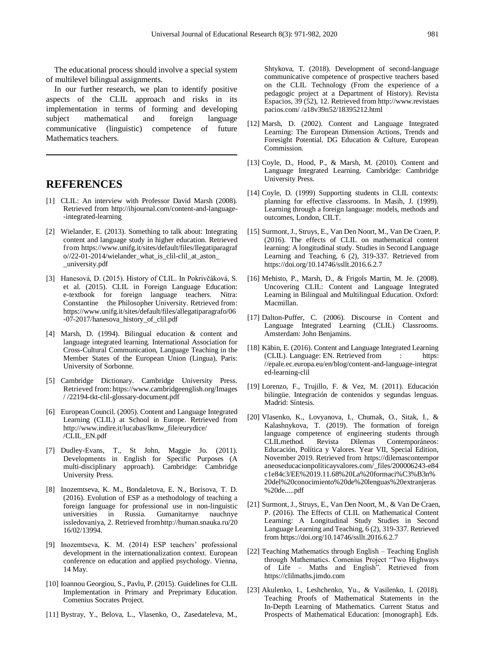The educational process should involve a special system of multilevel bilingual assignments.

In our further research, we plan to identify positive aspects of the CLIL approach and risks in its implementation in terms of forming and developing subject mathematical and foreign language communicative (linguistic) competence of future Mathematics teachers.

## **REFERENCES**

- [1] CLIL: An interview with Professor David Marsh (2008). Retrieved from http://ihjournal.com/content-and-language- -integrated-learning
- [2] Wielander, E. (2013). Something to talk about: Integrating content and language study in higher education. Retrieved from https://www.unifg.it/sites/default/files/llegatiparagraf o//22-01-2014/wielander\_what\_is\_clil-clil\_at\_aston\_ \_university.pdf
- [3] Hanesová, D. (2015). History of CLIL. In Pokrivčáková, S. et al. (2015). CLIL in Foreign Language Education: e-textbook for foreign language teachers. Nitra: Constantine the Philosopher University. Retrieved from: https://www.unifg.it/sites/default/files/allegatiparagrafo/06 -07-2017/hanesova\_history\_of\_clil.pdf
- [4] Marsh, D. (1994). Bilingual education & content and language integrated learning. International Association for Cross-Cultural Communication, Language Teaching in the Member States of the European Union (Lingua), Paris: University of Sorbonne.
- [5] Cambridge Dictionary. Cambridge University Press. Retrieved from: https://www.cambridgeenglish.org/Images / /22194-tkt-clil-glossary-document.pdf
- [6] European Council. (2005). Content and Language Integrated Learning (CLIL) at School in Europe. Retrieved from http://www.indire.it/lucabas/lkmw\_file/eurydice/ /CLIL\_EN.pdf
- [7] Dudley-Evans, T., St John, Maggie Jo. (2011). Developments in English for Specific Purposes (A multi-disciplinary approach). Cambridge: Cambridge University Press.
- [8] Inozemtseva, K. M., Bondaletova, E. N., Borisova, T. D. (2016). Evolution of ESP as a methodology of teaching a foreign language for professional use in non-linguistic universities in Russia. Gumanitarnye issledovaniya, 2. Retrieved fromhttp://human.snauka.ru/20 16/02/13994.
- [9] Inozemtseva, K. M. (2014) ESP teachers' professional development in the internationalization context. European conference on education and applied psychology. Vienna, 14 May.
- [10] Ioannou Georgiou, S., Pavlu, P. (2015). Guidelines for CLIL Implementation in Primary and Preprimary Education. Comenius Socrates Project.
- [11] Bystray, Y., Belova, L., Vlasenko, O., Zasedateleva, M.,

Shtykova, T. (2018). Development of second-language communicative competence of prospective teachers based on the CLIL Technology (From the experience of a pedagogic project at a Department of History). Revista Espacios, 39 (52), 12. Retrieved from http://www.revistaes pacios.com/ /a18v39n52/18395212.html

- [12] Marsh, D. (2002). Content and Language Integrated Learning: The European Dimension Actions, Trends and Foresight Potential. DG Education & Culture, European Commission.
- [13] Coyle, D., Hood, P., & Marsh, M. (2010). Content and Language Integrated Learning. Cambridge: Cambridge University Press.
- [14] Coyle, D. (1999) Supporting students in CLIL contexts: planning for effective classrooms. In Masih, J. (1999). Learning through a foreign language: models, methods and outcomes, London, CILT.
- [15] Surmont, J., Struys, E., Van Den Noort, M., Van De Craen, P. (2016). The effects of CLIL on mathematical content learning: A longitudinal study. Studies in Second Language Learning and Teaching, 6 (2), 319-337. Retrieved from https://doi.org/10.14746/ssllt.2016.6.2.7
- [16] Mehisto, P., Marsh, D., & Frigols Martin, M. Je. (2008). Uncovering CLIL: Content and Language Integrated Learning in Bilingual and Multilingual Education. Oxford: Macmillan.
- [17] Dalton-Puffer, C. (2006). Discourse in Content and Language Integrated Learning (CLIL) Classrooms. Amsterdam: John Benjamins.
- [18] Käbin, E. (2016). Content and Language Integrated Learning (CLIL). Language: EN. Retrieved from : https: //epale.ec.europa.eu/en/blog/content-and-language-integrat ed-learning-clil
- <span id="page-10-0"></span>[19] Lorenzo, F., Trujillo, F. & Vez, M. (2011). Educación bilingüe. Integración de contenidos y segundas lenguas. Madrid: Síntesis.
- [20] Vlasenko, K., Lovyanova, I., Chumak, O., Sitak, I., & Kalashnykova, T. (2019). The formation of foreign language competence of engineering students through<br>CLILmethod. Revista Dilemas Contemporáneos: Contemporáneos: Educación, Política y Valores. Year VII, Special Edition, November 2019. Retrieved from https://dilemascontempor aneoseducacionpoliticayvalores.com/\_files/200006243-e84 c1e84c3/EE%2019.11.68%20La%20formaci%C3%B3n% 20del%20conocimiento%20de%20lenguas%20extranjeras %20de.....pdf
- [21] Surmont, J., Struys, E., Van Den Noort, M., & Van De Craen, P. (2016). The Effects of CLIL on Mathematical Content Learning: A Longitudinal Study Studies in Second Language Learning and Teaching, 6 (2), 319-337. Retrieved from https://doi.org/10.14746/ssllt.2016.6.2.7
- [22] Teaching Mathematics through English Teaching English through Mathematics. Comenius Project "Two Highways of Life – Maths and English". Retrieved from https://clilmaths.jimdo.com
- [23] Akulenko, I., Leshchenko, Yu., & Vasilenko, I. (2018). Teaching Proofs of Mathematical Statements in the In-Depth Learning of Mathematics. Current Status and Prospects of Mathematical Education: [monograph]. Eds.